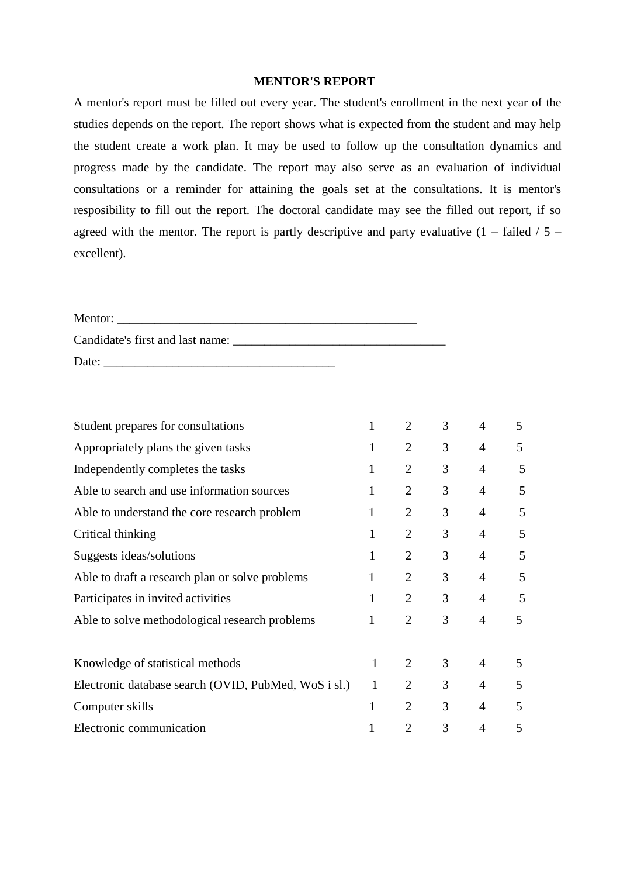## **MENTOR'S REPORT**

A mentor's report must be filled out every year. The student's enrollment in the next year of the studies depends on the report. The report shows what is expected from the student and may help the student create a work plan. It may be used to follow up the consultation dynamics and progress made by the candidate. The report may also serve as an evaluation of individual consultations or a reminder for attaining the goals set at the consultations. It is mentor's resposibility to fill out the report. The doctoral candidate may see the filled out report, if so agreed with the mentor. The report is partly descriptive and party evaluative  $(1 - \text{failed} / 5$ excellent).

| Mentor:                          |  |
|----------------------------------|--|
| Candidate's first and last name: |  |
| Date:                            |  |

| Student prepares for consultations                   | 1            | $\overline{2}$ | 3 | 4              | 5 |
|------------------------------------------------------|--------------|----------------|---|----------------|---|
| Appropriately plans the given tasks                  | 1            | 2              | 3 | $\overline{4}$ | 5 |
| Independently completes the tasks                    | $\mathbf{1}$ | $\overline{2}$ | 3 | $\overline{4}$ | 5 |
| Able to search and use information sources           | $\mathbf{1}$ | $\overline{2}$ | 3 | $\overline{4}$ | 5 |
| Able to understand the core research problem         | $\mathbf{1}$ | $\overline{2}$ | 3 | $\overline{4}$ | 5 |
| Critical thinking                                    | 1            | 2              | 3 | $\overline{4}$ | 5 |
| Suggests ideas/solutions                             | 1            | $\overline{2}$ | 3 | $\overline{4}$ | 5 |
| Able to draft a research plan or solve problems      | 1            | $\overline{2}$ | 3 | $\overline{4}$ | 5 |
| Participates in invited activities                   | 1            | $\overline{2}$ | 3 | $\overline{4}$ | 5 |
| Able to solve methodological research problems       | 1            | $\overline{2}$ | 3 | $\overline{4}$ | 5 |
|                                                      |              |                |   |                |   |
| Knowledge of statistical methods                     | $\mathbf{1}$ | 2              | 3 | 4              | 5 |
| Electronic database search (OVID, PubMed, WoS i sl.) | $\mathbf{1}$ | 2              | 3 | $\overline{4}$ | 5 |
| Computer skills                                      | 1            | $\overline{2}$ | 3 | $\overline{4}$ | 5 |
| Electronic communication                             |              | $\overline{2}$ | 3 | 4              | 5 |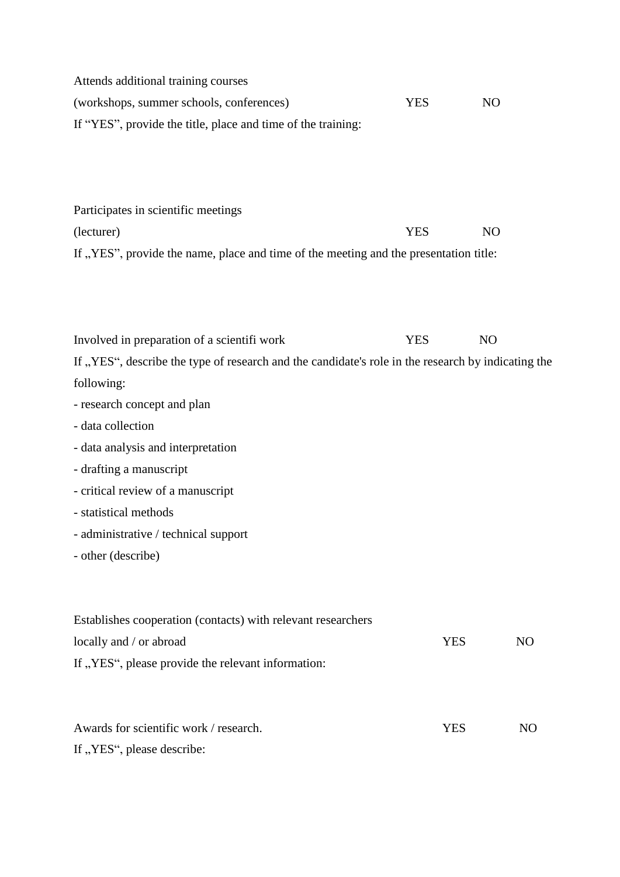| Attends additional training courses                          |      |     |
|--------------------------------------------------------------|------|-----|
| (workshops, summer schools, conferences)                     | YES. | NO. |
| If "YES", provide the title, place and time of the training: |      |     |

Participates in scientific meetings (lecturer) YES NO If "YES", provide the name, place and time of the meeting and the presentation title:

Involved in preparation of a scientifi work YES NO If "YES", describe the type of research and the candidate's role in the research by indicating the following:

- research concept and plan
- data collection
- data analysis and interpretation
- drafting a manuscript
- critical review of a manuscript
- statistical methods
- administrative / technical support
- other (describe)

| Establishes cooperation (contacts) with relevant researchers |     |     |
|--------------------------------------------------------------|-----|-----|
| locally and / or abroad                                      | YES | NO  |
| If "YES", please provide the relevant information:           |     |     |
| Awards for scientific work / research.                       | YES | NO. |

If "YES", please describe: